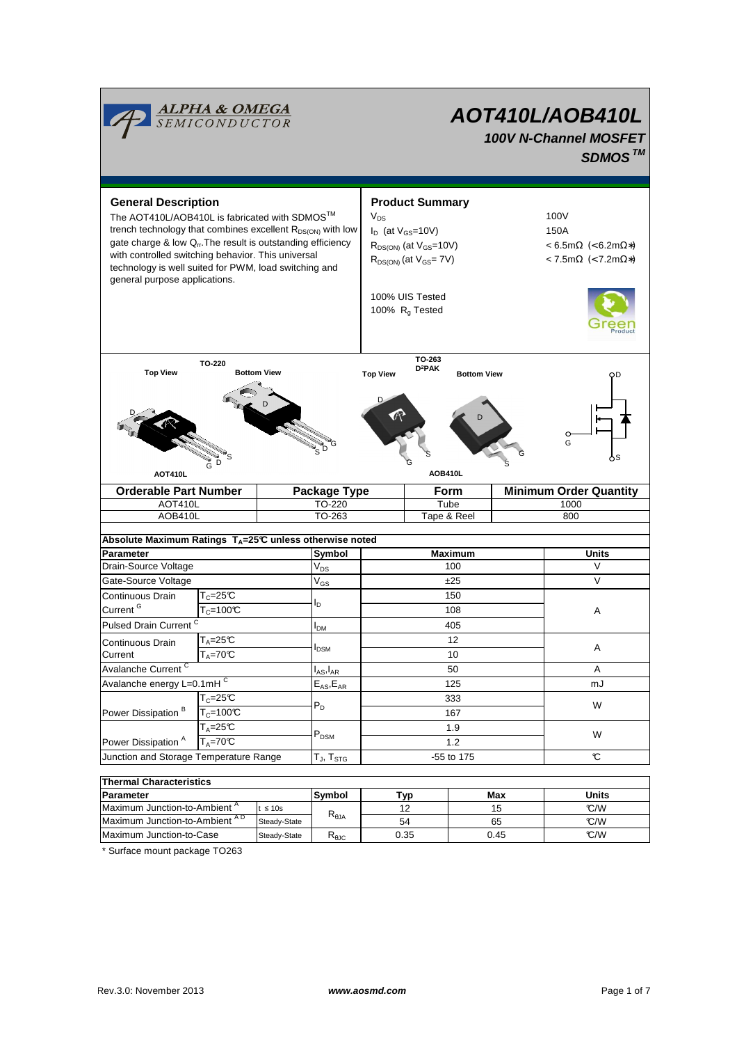

# **AOT410L/AOB410L 100V N-Channel MOSFET SDMOS TM**

**General Description Arrow Controllering Controllering Product Summary**  $V_{DS}$  100V  $I_D$  (at  $V_{GS}$ =10V) 150A  $R_{DS(ON)}$  (at  $V_{GS}=10V$ )  $\leq 6.5 \text{m}\Omega$   $\leq 6.2 \text{m}\Omega$ <sup>\*</sup>)  $R_{DS(ON)}$  (at  $V_{GS}$ = 7V)  $\leq 7.5 \text{m}\Omega$  (< 7.2m $\Omega$ \*) 100% UIS Tested 100%  $R_g$  Tested **Symbol** technology is well suited for PWM, load switching and general purpose applications. **Maximum** Units **Absolute Maximum Ratings T<sub>A</sub>=25°C unless otherwise noted Parameter** AOB410L TO-263 To-263 Tape & Reel 800 AOT410L TO-220 Tube 1000 **Orderable Part Number | Package Type | Form | Minimum Order Quantity** G D S **TO-220** Top View **Bottom View** G G S D Ŧ. S D D **TO-263 D<sup>2</sup>PAK** Top View D<sup>2</sup>PAK Bottom View D D S G G S **AOT410L AOB410L**  $V_{DS}$ V<sub>GS</sub>  $I_{DM}$  $I_{AS}$ ,  $I_{AR}$  $E_{AS}$ , $E_{AR}$ T<sub>J</sub>, T<sub>STG</sub> **Symbol** Pulsed Drain Current <sup>C</sup> and Contact Terms and Contact Terms and Terms and Terms and Terms and Terms and Terms and **Parameter Typ Max**  $T_C = 25^{\circ}C$ 1.9  $T_c=100$ °C 167 Gate-Source Voltage  $\overline{V_{\text{GS}}}$   $\overline{Z_{\text{Z}}}$   $\overline{Z_{\text{Z}}}$   $\overline{Z_{\text{Z}}}$   $\overline{Z_{\text{Z}}}$   $\overline{Z_{\text{Z}}}$   $\overline{Z_{\text{Z}}}$   $\overline{Z_{\text{Z}}}$   $\overline{Z_{\text{Z}}}$   $\overline{Z_{\text{Z}}}$   $\overline{Z_{\text{Z}}}$   $\overline{Z_{\text{Z}}}$   $\overline{Z_{\text{Z}}}$   $\overline{Z_{\text{Z}}}$   $\overline{$ Drain-Source Voltage 100 V<sub>DS</sub> 200 V V Avalanche energy L=0.1mH<sup>C</sup>  $E_{AS}E_{AR}$  125 125 mJ Avalanche Current <sup>C</sup> 10 Continuous Drain Current 125 12 A Continuous Drain Current <sup>G</sup>  $I_D$ 150 108  $\overline{T_{C}}$ =25°C  $T_c = 100$ <sup>°</sup>C W Power Dissipation<sup>A</sup> PDSM W  $T_A = 70^{\circ}C$ 333 1.2  $T_{\text{A}} = 25 \text{°C}$ Power Dissipation<sup>B</sup> 50 A  $T_A = 25C$  $I_{DSM}$   $A$  $\overline{T_A}$ =70°C  $P_D$ **Units** Junction and Storage Temperature Range  $T_{\text{J}}$ ,  $T_{\text{STG}}$   $-55$  to 175  $C$ **Thermal Characteristics**

| Parameter                                 |              | Symbol         | T <sub>VD</sub> | Max  | Units |
|-------------------------------------------|--------------|----------------|-----------------|------|-------|
| Maximum Junction-to-Ambient <sup>A</sup>  | ≤ 10s        | $R_{\theta$ JA |                 | 15   | °C/W  |
| Maximum Junction-to-Ambient <sup>AD</sup> | Steady-State |                | 54              | 65   | °C/W  |
| Maximum Junction-to-Case                  | Steady-State | <b>NAJC</b>    | 0.35            | 0.45 | °C/W  |
|                                           |              |                |                 |      |       |

\* Surface mount package TO263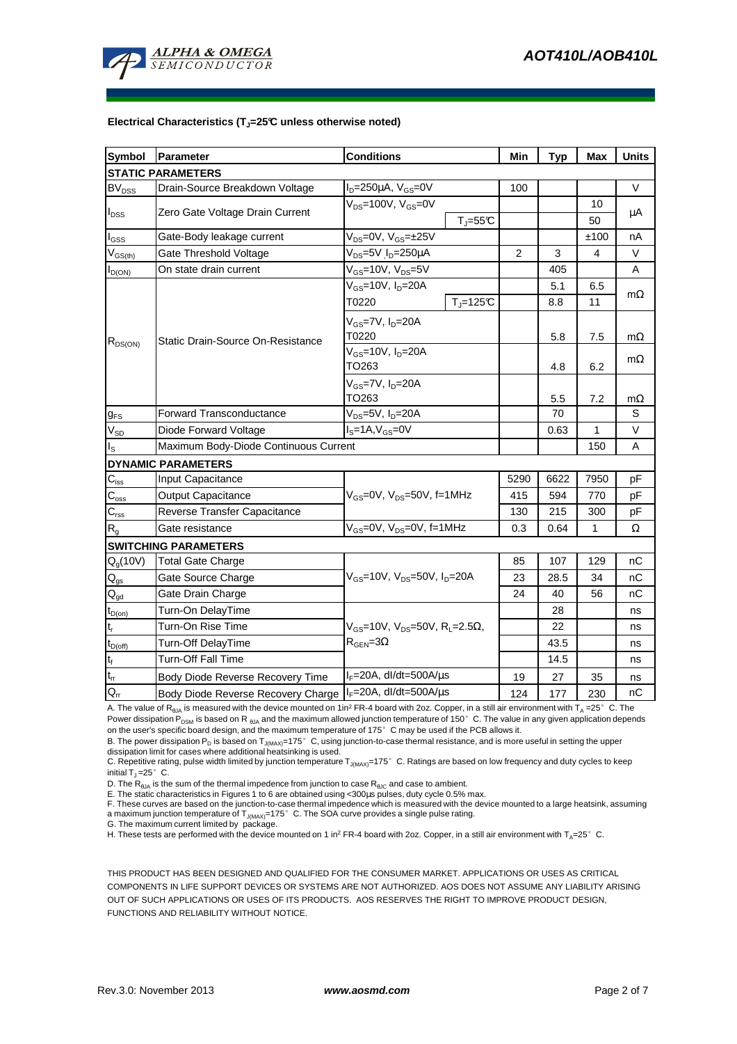

#### **Electrical Characteristics (TJ=25°C unless otherwise noted)**

| <b>Symbol</b>              | Parameter<br><b>Conditions</b>                                              |                                                              | Min            | <b>Typ</b> | <b>Max</b>   | <b>Units</b> |  |  |  |  |  |
|----------------------------|-----------------------------------------------------------------------------|--------------------------------------------------------------|----------------|------------|--------------|--------------|--|--|--|--|--|
| <b>STATIC PARAMETERS</b>   |                                                                             |                                                              |                |            |              |              |  |  |  |  |  |
| <b>BV<sub>DSS</sub></b>    | Drain-Source Breakdown Voltage                                              | $I_D = 250 \mu A$ , $V_{GS} = 0V$                            | 100            |            |              | V            |  |  |  |  |  |
| $I_{DSS}$                  | Zero Gate Voltage Drain Current                                             | $V_{DS}$ =100V, $V_{GS}$ =0V                                 |                |            | 10           |              |  |  |  |  |  |
|                            |                                                                             | $T_{J} = 55C$                                                |                |            | 50           | μA           |  |  |  |  |  |
| $I_{GSS}$                  | Gate-Body leakage current                                                   | $V_{DS} = 0V$ , $V_{GS} = \pm 25V$                           |                |            | ±100         | nA           |  |  |  |  |  |
| $V_{GS(th)}$               | V <sub>DS</sub> =5V I <sub>D</sub> =250µA<br>Gate Threshold Voltage         |                                                              | $\overline{2}$ | 3          | 4            | V            |  |  |  |  |  |
| $I_{D(ON)}$                | On state drain current                                                      | $V_{GS}$ =10V, $V_{DS}$ =5V                                  |                | 405        |              | A            |  |  |  |  |  |
| $R_{DS(ON)}$               | Static Drain-Source On-Resistance                                           | $V_{GS}$ =10V, $I_D$ =20A                                    |                | 5.1        | 6.5          | $m\Omega$    |  |  |  |  |  |
|                            |                                                                             | $T_{\rm J}$ =125 $\rm C$<br>T0220                            |                | 8.8        | 11           |              |  |  |  |  |  |
|                            |                                                                             | $V_{GS}$ =7V, $I_D$ =20A                                     |                |            |              |              |  |  |  |  |  |
|                            |                                                                             | T0220                                                        |                | 5.8        | 7.5          | $m\Omega$    |  |  |  |  |  |
|                            |                                                                             | V <sub>GS</sub> =10V, I <sub>D</sub> =20A                    |                |            |              | $m\Omega$    |  |  |  |  |  |
|                            |                                                                             | TO263                                                        |                | 4.8        | 6.2          |              |  |  |  |  |  |
|                            |                                                                             | V <sub>GS</sub> =7V, I <sub>D</sub> =20A                     |                |            |              |              |  |  |  |  |  |
|                            |                                                                             | TO263                                                        |                | 5.5        | 7.2          | $m\Omega$    |  |  |  |  |  |
| $g_{FS}$                   | <b>Forward Transconductance</b><br>V <sub>DS</sub> =5V, I <sub>D</sub> =20A |                                                              |                | 70         |              | S            |  |  |  |  |  |
| $\rm V_{\rm SD}$           | Diode Forward Voltage                                                       | $IS=1A, VGS=0V$                                              |                | 0.63       | 1            | V            |  |  |  |  |  |
| $\mathsf{I}_\mathsf{S}$    | Maximum Body-Diode Continuous Current                                       |                                                              |                | 150        | A            |              |  |  |  |  |  |
|                            | <b>DYNAMIC PARAMETERS</b>                                                   |                                                              |                |            |              |              |  |  |  |  |  |
| $C_{\rm iss}$              | Input Capacitance                                                           |                                                              | 5290           | 6622       | 7950         | рF           |  |  |  |  |  |
| $C_{\rm oss}$              | <b>Output Capacitance</b>                                                   | $V_{GS}$ =0V, $V_{DS}$ =50V, f=1MHz                          | 415            | 594        | 770          | pF           |  |  |  |  |  |
| $C_{\rm rss}$              | Reverse Transfer Capacitance                                                |                                                              | 130            | 215        | 300          | pF           |  |  |  |  |  |
| R <sub>g</sub>             | Gate resistance                                                             | $V_{GS}$ =0V, $V_{DS}$ =0V, f=1MHz                           |                | 0.64       | $\mathbf{1}$ | Ω            |  |  |  |  |  |
|                            | <b>SWITCHING PARAMETERS</b>                                                 |                                                              |                |            |              |              |  |  |  |  |  |
| $Q_g(10V)$                 | <b>Total Gate Charge</b>                                                    |                                                              | 85             | 107        | 129          | nС           |  |  |  |  |  |
| $Q_{gs}$                   | Gate Source Charge                                                          | $V_{GS}$ =10V, $V_{DS}$ =50V, $I_{D}$ =20A                   | 23             | 28.5       | 34           | nС           |  |  |  |  |  |
| $\mathsf{Q}_{\mathsf{gd}}$ | Gate Drain Charge                                                           |                                                              | 24             | 40         | 56           | nС           |  |  |  |  |  |
| $t_{D(0n)}$                | Turn-On DelayTime                                                           |                                                              |                | 28         |              | ns           |  |  |  |  |  |
| $t_r$                      | Turn-On Rise Time                                                           | $V_{GS}$ =10V, $V_{DS}$ =50V, R <sub>L</sub> =2.5 $\Omega$ , |                | 22         |              | ns           |  |  |  |  |  |
| $t_{D(off)}$               | <b>Turn-Off DelayTime</b>                                                   | $R_{\text{GEN}} = 3\Omega$                                   |                | 43.5       |              | ns           |  |  |  |  |  |
| $t_f$                      | <b>Turn-Off Fall Time</b>                                                   |                                                              |                | 14.5       |              | ns           |  |  |  |  |  |
| $t_{rr}$                   | Body Diode Reverse Recovery Time                                            | l <sub>F</sub> =20A, dl/dt=500A/μs                           |                | 27         | 35           | ns           |  |  |  |  |  |
| $\mathsf{Q}_\mathsf{rr}$   | Body Diode Reverse Recovery Charge                                          | $IF=20A$ , dl/dt=500A/ $\mu$ s                               | 124            | 177        | 230          | nС           |  |  |  |  |  |

A. The value of R<sub>θJA</sub> is measured with the device mounted on 1in<sup>2</sup> FR-4 board with 2oz. Copper, in a still air environment with T<sub>A</sub> =25°C. The Power dissipation P<sub>DSM</sub> is based on R <sub>θJA</sub> and the maximum allowed junction temperature of 150°C. The value in any given application depends on the user's specific board design, and the maximum temperature of 175°C may be used if the PCB allows it.

B. The power dissipation P<sub>D</sub> is based on T<sub>J(MAX)</sub>=175°C, using junction-to-case thermal resistance, and is more useful in setting the upper dissipation limit for cases where additional heatsinking is used.

C. Repetitive rating, pulse width limited by junction temperature  $T_{J(MAX)}$ =175°C. Ratings are based on low frequency and duty cycles to keep initial  $T_1 = 25^\circ$  C.

D. The  $R_{AIA}$  is the sum of the thermal impedence from junction to case  $R_{AIC}$  and case to ambient.

E. The static characteristics in Figures 1 to 6 are obtained using <300µs pulses, duty cycle 0.5% max.

F. These curves are based on the junction-to-case thermal impedence which is measured with the device mounted to a large heatsink, assuming a maximum junction temperature of  $T_{J(MAX)}$ =175° C. The SOA curve provides a single pulse rating.

G. The maximum current limited by package.

H. These tests are performed with the device mounted on 1 in<sup>2</sup> FR-4 board with 2oz. Copper, in a still air environment with T<sub>A</sub>=25°C.

THIS PRODUCT HAS BEEN DESIGNED AND QUALIFIED FOR THE CONSUMER MARKET. APPLICATIONS OR USES AS CRITICAL COMPONENTS IN LIFE SUPPORT DEVICES OR SYSTEMS ARE NOT AUTHORIZED. AOS DOES NOT ASSUME ANY LIABILITY ARISING OUT OF SUCH APPLICATIONS OR USES OF ITS PRODUCTS. AOS RESERVES THE RIGHT TO IMPROVE PRODUCT DESIGN, FUNCTIONS AND RELIABILITY WITHOUT NOTICE.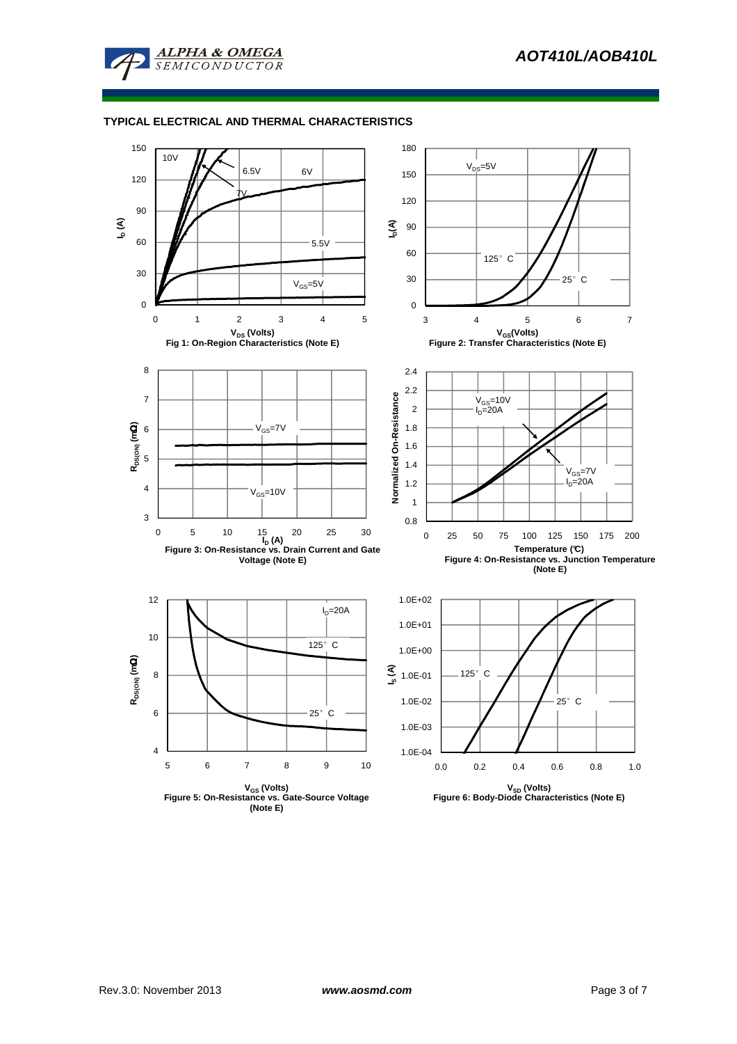

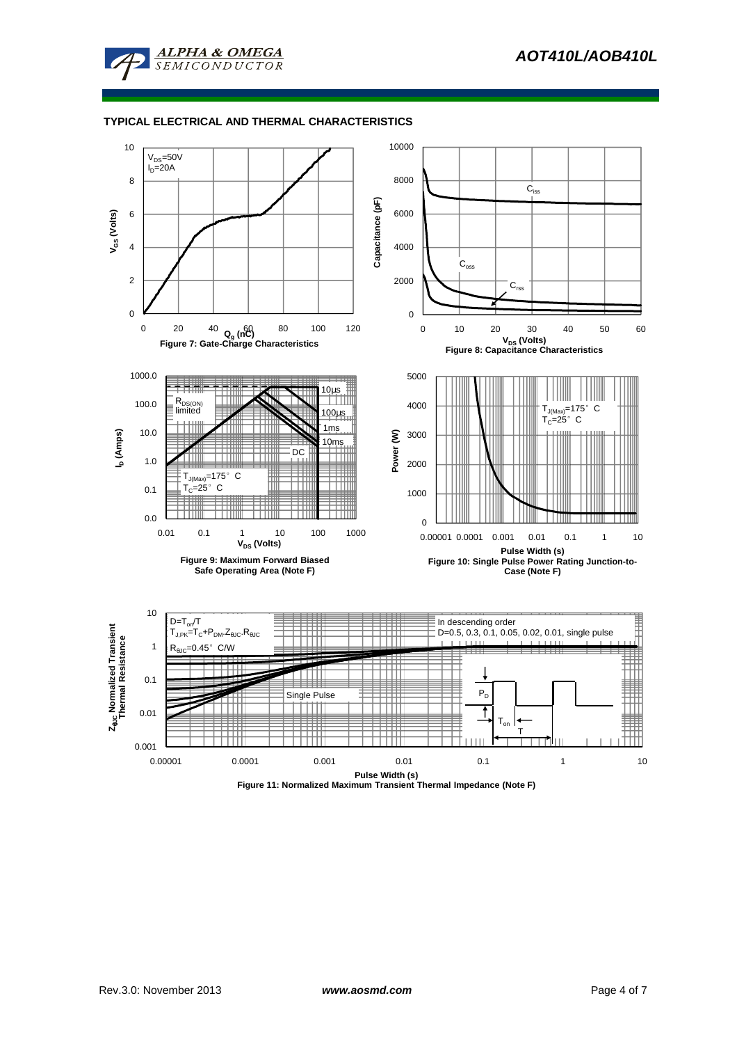



**Figure 11: Normalized Maximum Transient Thermal Impedance (Note F)**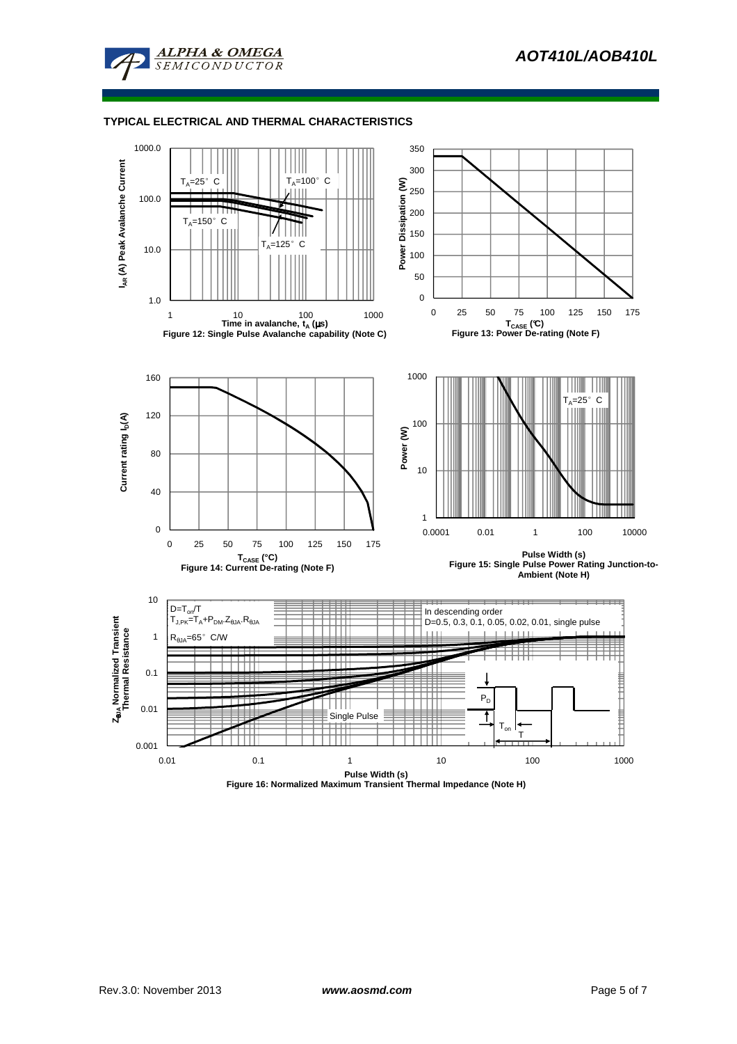



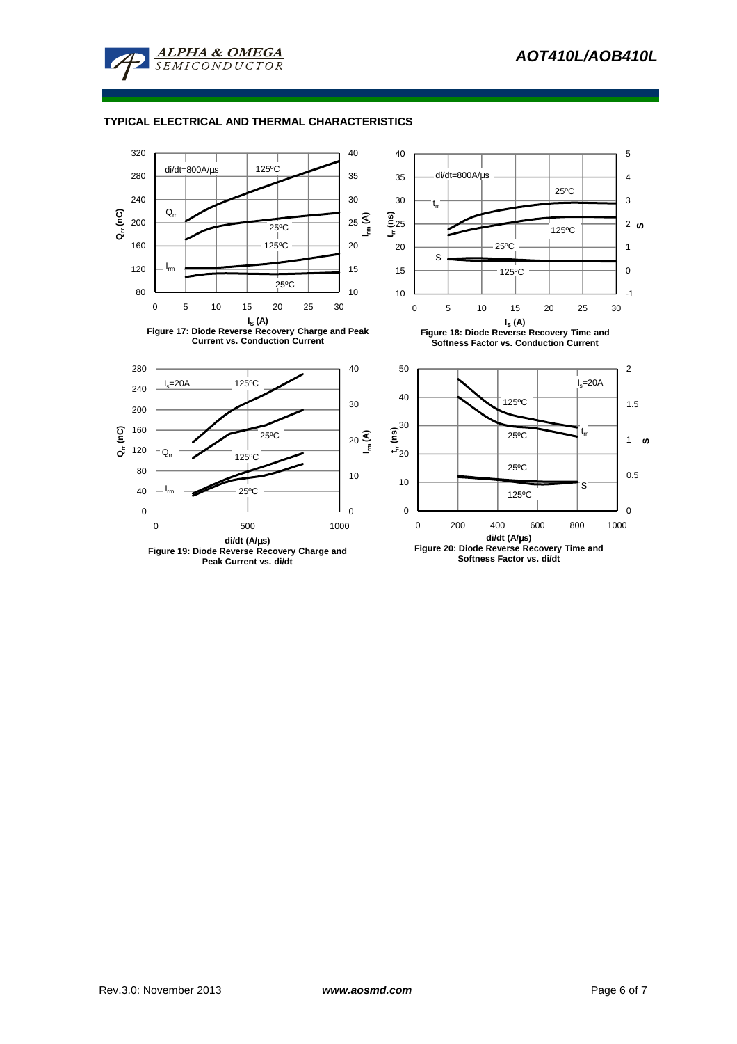